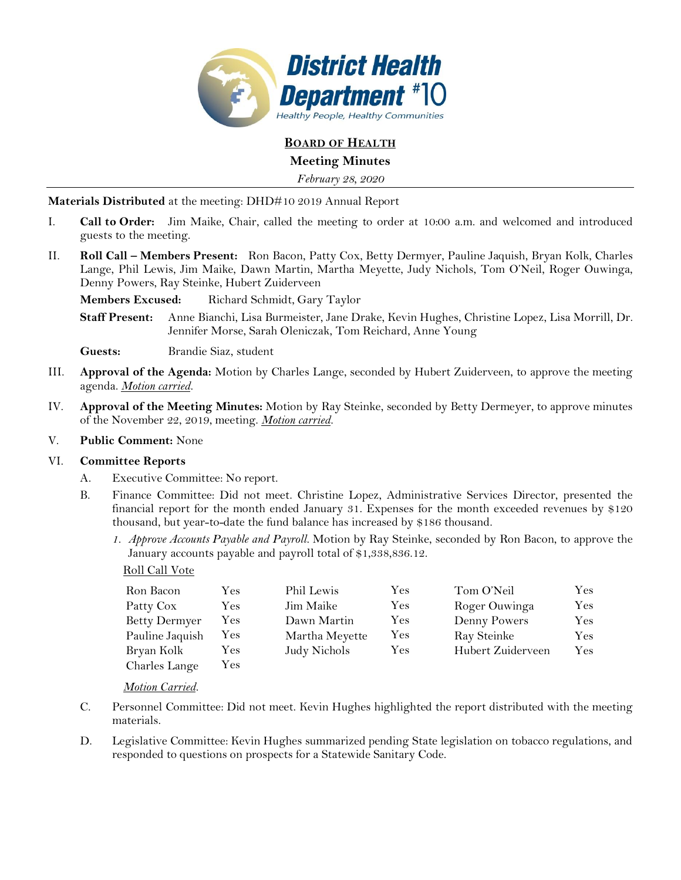

# **BOARD OF HEALTH**

# **Meeting Minutes**

*February 28, 2020*

**Materials Distributed** at the meeting: DHD#10 2019 Annual Report

- I. **Call to Order:** Jim Maike, Chair, called the meeting to order at 10:00 a.m. and welcomed and introduced guests to the meeting.
- II. **Roll Call – Members Present:** Ron Bacon, Patty Cox, Betty Dermyer, Pauline Jaquish, Bryan Kolk, Charles Lange, Phil Lewis, Jim Maike, Dawn Martin, Martha Meyette, Judy Nichols, Tom O'Neil, Roger Ouwinga, Denny Powers, Ray Steinke, Hubert Zuiderveen

**Members Excused:** Richard Schmidt, Gary Taylor

**Staff Present:** Anne Bianchi, Lisa Burmeister, Jane Drake, Kevin Hughes, Christine Lopez, Lisa Morrill, Dr. Jennifer Morse, Sarah Oleniczak, Tom Reichard, Anne Young

**Guests:** Brandie Siaz, student

- III. **Approval of the Agenda:** Motion by Charles Lange, seconded by Hubert Zuiderveen, to approve the meeting agenda. *Motion carried.*
- IV. **Approval of the Meeting Minutes:** Motion by Ray Steinke, seconded by Betty Dermeyer, to approve minutes of the November 22, 2019, meeting. *Motion carried.*

### V. **Public Comment:** None

### VI. **Committee Reports**

- A. Executive Committee: No report.
- B. Finance Committee: Did not meet. Christine Lopez, Administrative Services Director, presented the financial report for the month ended January 31. Expenses for the month exceeded revenues by \$120 thousand, but year-to-date the fund balance has increased by \$186 thousand.
	- *1. Approve Accounts Payable and Payroll.* Motion by Ray Steinke, seconded by Ron Bacon, to approve the January accounts payable and payroll total of \$1,338,836.12.

### Roll Call Vote

| Ron Bacon            | Yes  | Phil Lewis     | Yes       | Tom O'Neil        | Yes. |
|----------------------|------|----------------|-----------|-------------------|------|
| Patty Cox            | Yes  | Jim Maike      | Yes       | Roger Ouwinga     | Yes. |
| <b>Betty Dermyer</b> | Yes  | Dawn Martin    | Yes       | Denny Powers      | Yes  |
| Pauline Jaquish      | Y es | Martha Meyette | Yes       | Ray Steinke       | Yes. |
| Bryan Kolk           | Y es | Judy Nichols   | $\rm Yes$ | Hubert Zuiderveen | Yes  |
| Charles Lange        | Yes  |                |           |                   |      |

*Motion Carried.* 

- C. Personnel Committee: Did not meet. Kevin Hughes highlighted the report distributed with the meeting materials.
- D. Legislative Committee: Kevin Hughes summarized pending State legislation on tobacco regulations, and responded to questions on prospects for a Statewide Sanitary Code.